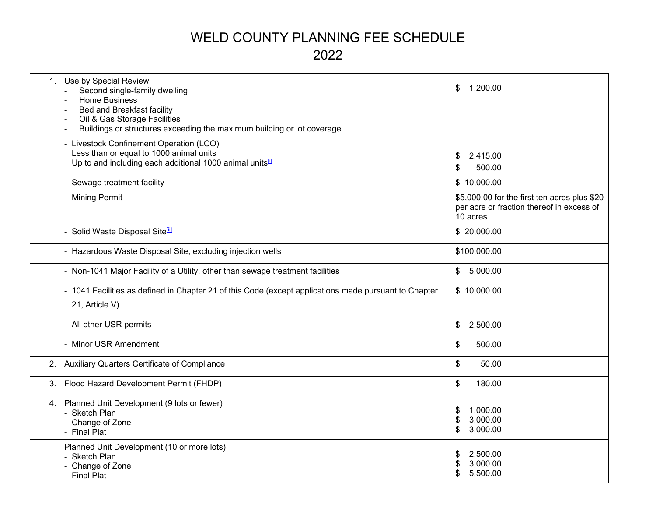# WELD COUNTY PLANNING FEE SCHEDULE 2022

| Use by Special Review<br>1.<br>Second single-family dwelling<br><b>Home Business</b><br>Bed and Breakfast facility<br>Oil & Gas Storage Facilities<br>Buildings or structures exceeding the maximum building or lot coverage | \$<br>1,200.00                                                                                        |
|------------------------------------------------------------------------------------------------------------------------------------------------------------------------------------------------------------------------------|-------------------------------------------------------------------------------------------------------|
| - Livestock Confinement Operation (LCO)<br>Less than or equal to 1000 animal units<br>Up to and including each additional 1000 animal units <sup>[1]</sup>                                                                   | 2,415.00<br>\$<br>500.00<br>S                                                                         |
| - Sewage treatment facility                                                                                                                                                                                                  | \$10,000.00                                                                                           |
| - Mining Permit                                                                                                                                                                                                              | \$5,000.00 for the first ten acres plus \$20<br>per acre or fraction thereof in excess of<br>10 acres |
| - Solid Waste Disposal Site <sup>[ii]</sup>                                                                                                                                                                                  | \$20,000.00                                                                                           |
| - Hazardous Waste Disposal Site, excluding injection wells                                                                                                                                                                   | \$100,000.00                                                                                          |
| - Non-1041 Major Facility of a Utility, other than sewage treatment facilities                                                                                                                                               | 5,000.00<br>\$                                                                                        |
| - 1041 Facilities as defined in Chapter 21 of this Code (except applications made pursuant to Chapter<br>21, Article V)                                                                                                      | \$10,000.00                                                                                           |
| - All other USR permits                                                                                                                                                                                                      | \$<br>2,500.00                                                                                        |
| - Minor USR Amendment                                                                                                                                                                                                        | \$<br>500.00                                                                                          |
| Auxiliary Quarters Certificate of Compliance<br>2.                                                                                                                                                                           | \$<br>50.00                                                                                           |
| Flood Hazard Development Permit (FHDP)<br>3.                                                                                                                                                                                 | \$<br>180.00                                                                                          |
| Planned Unit Development (9 lots or fewer)<br>4.<br>- Sketch Plan<br>- Change of Zone<br>- Final Plat                                                                                                                        | 1,000.00<br>\$<br>3,000.00<br>\$<br>3,000.00<br>\$                                                    |
| Planned Unit Development (10 or more lots)<br>Sketch Plan<br>- Change of Zone<br>- Final Plat                                                                                                                                | 2,500.00<br>\$<br>\$<br>3,000.00<br>\$<br>5,500.00                                                    |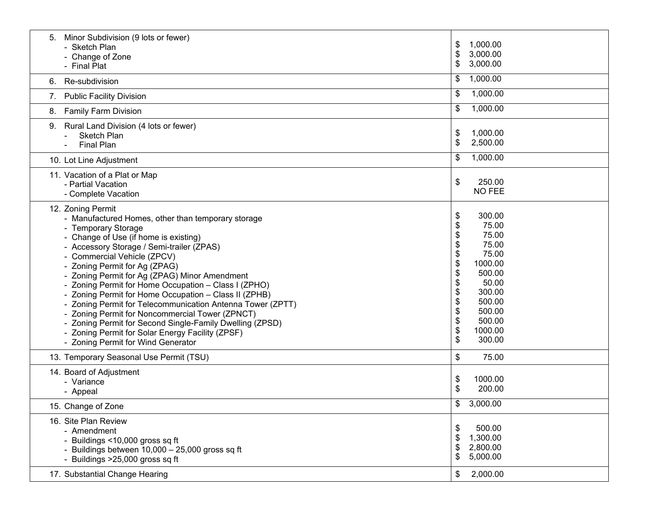| Minor Subdivision (9 lots or fewer)<br>5.<br>- Sketch Plan<br>- Change of Zone<br>- Final Plat                                                                                                                                                                                                                                                                                                                                                                                                                                                                                                                                                                                                | 1,000.00<br>\$<br>\$<br>3,000.00<br>\$<br>3,000.00                                                                                                                                                                        |
|-----------------------------------------------------------------------------------------------------------------------------------------------------------------------------------------------------------------------------------------------------------------------------------------------------------------------------------------------------------------------------------------------------------------------------------------------------------------------------------------------------------------------------------------------------------------------------------------------------------------------------------------------------------------------------------------------|---------------------------------------------------------------------------------------------------------------------------------------------------------------------------------------------------------------------------|
| Re-subdivision<br>6.                                                                                                                                                                                                                                                                                                                                                                                                                                                                                                                                                                                                                                                                          | 1,000.00<br>\$                                                                                                                                                                                                            |
| <b>Public Facility Division</b><br>7.                                                                                                                                                                                                                                                                                                                                                                                                                                                                                                                                                                                                                                                         | 1,000.00<br>\$                                                                                                                                                                                                            |
| <b>Family Farm Division</b><br>8.                                                                                                                                                                                                                                                                                                                                                                                                                                                                                                                                                                                                                                                             | 1,000.00<br>\$                                                                                                                                                                                                            |
| Rural Land Division (4 lots or fewer)<br>9.<br>Sketch Plan<br><b>Final Plan</b>                                                                                                                                                                                                                                                                                                                                                                                                                                                                                                                                                                                                               | \$<br>1,000.00<br>\$<br>2,500.00                                                                                                                                                                                          |
| 10. Lot Line Adjustment                                                                                                                                                                                                                                                                                                                                                                                                                                                                                                                                                                                                                                                                       | 1,000.00<br>\$                                                                                                                                                                                                            |
| 11. Vacation of a Plat or Map<br>- Partial Vacation<br>- Complete Vacation                                                                                                                                                                                                                                                                                                                                                                                                                                                                                                                                                                                                                    | \$<br>250.00<br><b>NO FEE</b>                                                                                                                                                                                             |
| 12. Zoning Permit<br>- Manufactured Homes, other than temporary storage<br>- Temporary Storage<br>- Change of Use (if home is existing)<br>- Accessory Storage / Semi-trailer (ZPAS)<br>- Commercial Vehicle (ZPCV)<br>- Zoning Permit for Ag (ZPAG)<br>- Zoning Permit for Ag (ZPAG) Minor Amendment<br>- Zoning Permit for Home Occupation - Class I (ZPHO)<br>- Zoning Permit for Home Occupation - Class II (ZPHB)<br>- Zoning Permit for Telecommunication Antenna Tower (ZPTT)<br>- Zoning Permit for Noncommercial Tower (ZPNCT)<br>- Zoning Permit for Second Single-Family Dwelling (ZPSD)<br>- Zoning Permit for Solar Energy Facility (ZPSF)<br>- Zoning Permit for Wind Generator | 300.00<br>\$<br>\$<br>75.00<br>\$<br>75.00<br>\$<br>75.00<br>\$<br>75.00<br>\$<br>1000.00<br>500.00<br>\$<br>\$<br>50.00<br>\$<br>300.00<br>\$<br>500.00<br>\$<br>500.00<br>\$<br>500.00<br>\$<br>1000.00<br>\$<br>300.00 |
| 13. Temporary Seasonal Use Permit (TSU)                                                                                                                                                                                                                                                                                                                                                                                                                                                                                                                                                                                                                                                       | \$<br>75.00                                                                                                                                                                                                               |
| 14. Board of Adjustment<br>- Variance<br>- Appeal                                                                                                                                                                                                                                                                                                                                                                                                                                                                                                                                                                                                                                             | \$<br>1000.00<br>\$<br>200.00                                                                                                                                                                                             |
| 15. Change of Zone                                                                                                                                                                                                                                                                                                                                                                                                                                                                                                                                                                                                                                                                            | \$<br>3,000.00                                                                                                                                                                                                            |
| 16. Site Plan Review<br>- Amendment<br>- Buildings <10,000 gross sq ft<br>- Buildings between 10,000 - 25,000 gross sq ft<br>- Buildings >25,000 gross sq ft                                                                                                                                                                                                                                                                                                                                                                                                                                                                                                                                  | 500.00<br>\$<br>1,300.00<br>\$<br>2,800.00<br>\$<br>\$<br>5,000.00                                                                                                                                                        |
| 17. Substantial Change Hearing                                                                                                                                                                                                                                                                                                                                                                                                                                                                                                                                                                                                                                                                | 2,000.00<br>\$                                                                                                                                                                                                            |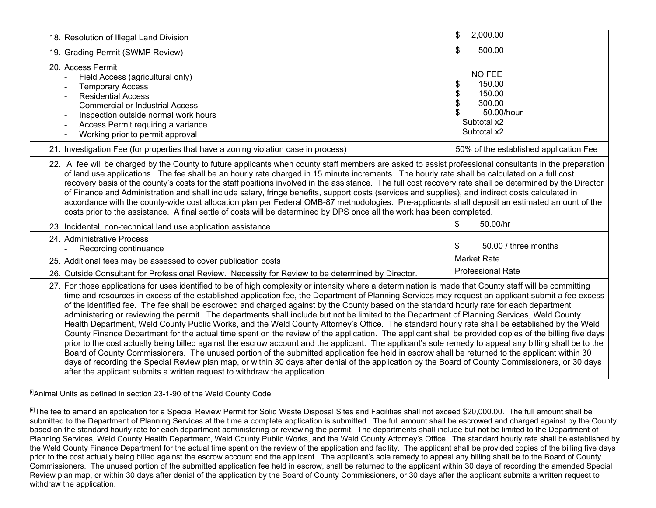| 18. Resolution of Illegal Land Division                                                                                                                                                                                                                                                                                                                                                                                                                                                                                                                                                                                                                                                                                                                                                                                                                                                                                                                                                                                                                                                                                                                                                                                                                                                                                                                                                                                                                           | \$<br>2,000.00                                                                                                  |  |
|-------------------------------------------------------------------------------------------------------------------------------------------------------------------------------------------------------------------------------------------------------------------------------------------------------------------------------------------------------------------------------------------------------------------------------------------------------------------------------------------------------------------------------------------------------------------------------------------------------------------------------------------------------------------------------------------------------------------------------------------------------------------------------------------------------------------------------------------------------------------------------------------------------------------------------------------------------------------------------------------------------------------------------------------------------------------------------------------------------------------------------------------------------------------------------------------------------------------------------------------------------------------------------------------------------------------------------------------------------------------------------------------------------------------------------------------------------------------|-----------------------------------------------------------------------------------------------------------------|--|
| 19. Grading Permit (SWMP Review)                                                                                                                                                                                                                                                                                                                                                                                                                                                                                                                                                                                                                                                                                                                                                                                                                                                                                                                                                                                                                                                                                                                                                                                                                                                                                                                                                                                                                                  | 500.00<br>\$                                                                                                    |  |
| 20. Access Permit<br>Field Access (agricultural only)<br><b>Temporary Access</b><br><b>Residential Access</b><br><b>Commercial or Industrial Access</b><br>Inspection outside normal work hours<br>Access Permit requiring a variance<br>Working prior to permit approval                                                                                                                                                                                                                                                                                                                                                                                                                                                                                                                                                                                                                                                                                                                                                                                                                                                                                                                                                                                                                                                                                                                                                                                         | <b>NO FEE</b><br>\$<br>150.00<br>\$<br>150.00<br>\$<br>300.00<br>50.00/hour<br>\$<br>Subtotal x2<br>Subtotal x2 |  |
| 21. Investigation Fee (for properties that have a zoning violation case in process)                                                                                                                                                                                                                                                                                                                                                                                                                                                                                                                                                                                                                                                                                                                                                                                                                                                                                                                                                                                                                                                                                                                                                                                                                                                                                                                                                                               | 50% of the established application Fee                                                                          |  |
| 22. A fee will be charged by the County to future applicants when county staff members are asked to assist professional consultants in the preparation<br>of land use applications. The fee shall be an hourly rate charged in 15 minute increments. The hourly rate shall be calculated on a full cost<br>recovery basis of the county's costs for the staff positions involved in the assistance. The full cost recovery rate shall be determined by the Director<br>of Finance and Administration and shall include salary, fringe benefits, support costs (services and supplies), and indirect costs calculated in<br>accordance with the county-wide cost allocation plan per Federal OMB-87 methodologies. Pre-applicants shall deposit an estimated amount of the<br>costs prior to the assistance. A final settle of costs will be determined by DPS once all the work has been completed.                                                                                                                                                                                                                                                                                                                                                                                                                                                                                                                                                               |                                                                                                                 |  |
| 23. Incidental, non-technical land use application assistance.                                                                                                                                                                                                                                                                                                                                                                                                                                                                                                                                                                                                                                                                                                                                                                                                                                                                                                                                                                                                                                                                                                                                                                                                                                                                                                                                                                                                    | 50.00/hr<br>\$                                                                                                  |  |
| 24. Administrative Process<br>Recording continuance                                                                                                                                                                                                                                                                                                                                                                                                                                                                                                                                                                                                                                                                                                                                                                                                                                                                                                                                                                                                                                                                                                                                                                                                                                                                                                                                                                                                               | 50.00 / three months<br>\$                                                                                      |  |
| 25. Additional fees may be assessed to cover publication costs                                                                                                                                                                                                                                                                                                                                                                                                                                                                                                                                                                                                                                                                                                                                                                                                                                                                                                                                                                                                                                                                                                                                                                                                                                                                                                                                                                                                    | <b>Market Rate</b>                                                                                              |  |
| 26. Outside Consultant for Professional Review. Necessity for Review to be determined by Director.                                                                                                                                                                                                                                                                                                                                                                                                                                                                                                                                                                                                                                                                                                                                                                                                                                                                                                                                                                                                                                                                                                                                                                                                                                                                                                                                                                | <b>Professional Rate</b>                                                                                        |  |
| 27. For those applications for uses identified to be of high complexity or intensity where a determination is made that County staff will be committing<br>time and resources in excess of the established application fee, the Department of Planning Services may request an applicant submit a fee excess<br>of the identified fee. The fee shall be escrowed and charged against by the County based on the standard hourly rate for each department<br>administering or reviewing the permit. The departments shall include but not be limited to the Department of Planning Services, Weld County<br>Health Department, Weld County Public Works, and the Weld County Attorney's Office. The standard hourly rate shall be established by the Weld<br>County Finance Department for the actual time spent on the review of the application. The applicant shall be provided copies of the billing five days<br>prior to the cost actually being billed against the escrow account and the applicant. The applicant's sole remedy to appeal any billing shall be to the<br>Board of County Commissioners. The unused portion of the submitted application fee held in escrow shall be returned to the applicant within 30<br>days of recording the Special Review plan map, or within 30 days after denial of the application by the Board of County Commissioners, or 30 days<br>after the applicant submits a written request to withdraw the application. |                                                                                                                 |  |

[i]Animal Units as defined in section 23-1-90 of the Weld County Code

<sup>[ii]</sup>The fee to amend an application for a Special Review Permit for Solid Waste Disposal Sites and Facilities shall not exceed \$20,000.00. The full amount shall be submitted to the Department of Planning Services at the time a complete application is submitted. The full amount shall be escrowed and charged against by the County based on the standard hourly rate for each department administering or reviewing the permit. The departments shall include but not be limited to the Department of Planning Services, Weld County Health Department, Weld County Public Works, and the Weld County Attorney's Office. The standard hourly rate shall be established by the Weld County Finance Department for the actual time spent on the review of the application and facility. The applicant shall be provided copies of the billing five days prior to the cost actually being billed against the escrow account and the applicant. The applicant's sole remedy to appeal any billing shall be to the Board of County Commissioners. The unused portion of the submitted application fee held in escrow, shall be returned to the applicant within 30 days of recording the amended Special Review plan map, or within 30 days after denial of the application by the Board of County Commissioners, or 30 days after the applicant submits a written request to withdraw the application.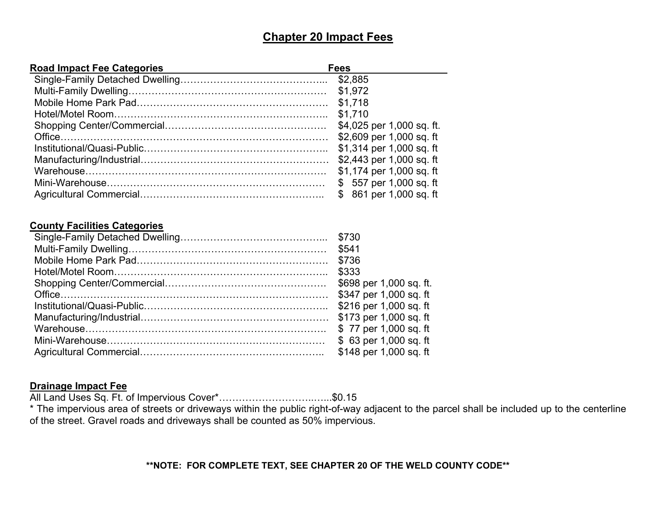## **Chapter 20 Impact Fees**

| <b>Road Impact Fee Categories</b> | Fees                      |
|-----------------------------------|---------------------------|
|                                   | \$2,885                   |
|                                   | \$1,972                   |
|                                   | \$1,718                   |
|                                   | \$1,710                   |
|                                   | \$4,025 per 1,000 sq. ft. |
|                                   | \$2,609 per 1,000 sq. ft  |
|                                   | \$1,314 per 1,000 sq. ft  |
|                                   | \$2,443 per 1,000 sq. ft  |
|                                   | \$1,174 per 1,000 sq. ft  |
|                                   | \$557 per 1,000 sq. ft    |
|                                   | \$861 per 1,000 sq. ft    |

#### **County Facilities Categories**

| \$541                   |
|-------------------------|
|                         |
| \$333                   |
| \$698 per 1,000 sq. ft. |
| \$347 per 1,000 sq. ft  |
| \$216 per 1,000 sq. ft  |
| \$173 per 1,000 sq. ft  |
| \$77 per 1,000 sq. ft   |
| \$63 per 1,000 sq. ft   |
| \$148 per 1,000 sq. ft  |

#### **Drainage Impact Fee**

All Land Uses Sq. Ft. of Impervious Cover\*………………………..…...\$0.15

\* The impervious area of streets or driveways within the public right-of-way adjacent to the parcel shall be included up to the centerline of the street. Gravel roads and driveways shall be counted as 50% impervious.

#### **\*\*NOTE: FOR COMPLETE TEXT, SEE CHAPTER 20 OF THE WELD COUNTY CODE\*\***